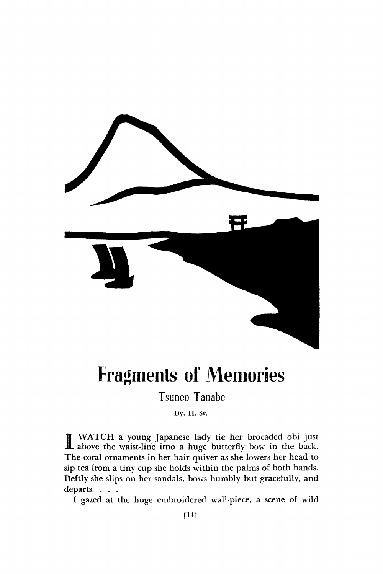

## Fragments of Memories

Tsuneo Tanabe

**Dy. H. Sr.** 

 $\prod_{\text{min}}$ WATCH a young Japanese lady tie her brocaded obi just above the waist-line itno a huge butterfly bow in the back. The coral ornaments in her hair quiver as she lowers her head to sip tea from a tiny cup she holds within the palms of both hands. Deftly she slips on her sandals, bows humbly but gracefully, and departs. . . .

I gazed at the huge embroidered wall-piece, a scene of wild